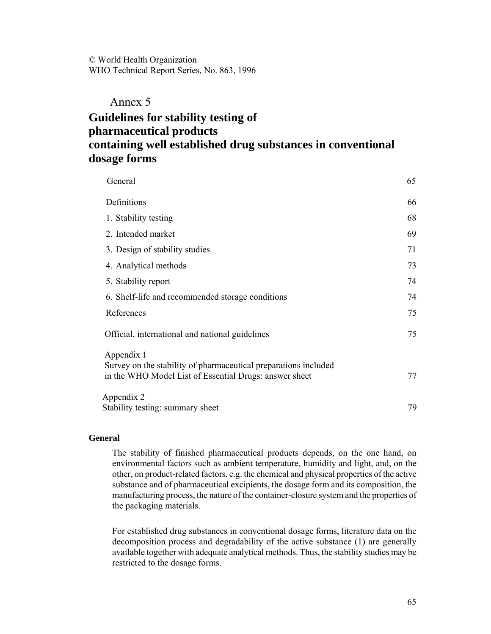© World Health Organization WHO Technical Report Series, No. 863, 1996

# Annex 5

# **Guidelines for stability testing of pharmaceutical products containing well established drug substances in conventional dosage forms**

| General                                                                                                                   | 65 |
|---------------------------------------------------------------------------------------------------------------------------|----|
| Definitions                                                                                                               | 66 |
| 1. Stability testing                                                                                                      | 68 |
| 2. Intended market                                                                                                        | 69 |
| 3. Design of stability studies                                                                                            | 71 |
| 4. Analytical methods                                                                                                     | 73 |
| 5. Stability report                                                                                                       | 74 |
| 6. Shelf-life and recommended storage conditions                                                                          | 74 |
| References                                                                                                                | 75 |
| Official, international and national guidelines                                                                           | 75 |
| Appendix 1                                                                                                                |    |
| Survey on the stability of pharmaceutical preparations included<br>in the WHO Model List of Essential Drugs: answer sheet | 77 |
| Appendix 2                                                                                                                |    |
| Stability testing: summary sheet                                                                                          | 79 |

# **General**

The stability of finished pharmaceutical products depends, on the one hand, on environmental factors such as ambient temperature, humidity and light, and, on the other, on product-related factors, e.g. the chemical and physical properties of the active substance and of pharmaceutical excipients, the dosage form and its composition, the manufacturing process, the nature of the container-closure system and the properties of the packaging materials.

For established drug substances in conventional dosage forms, literature data on the decomposition process and degradability of the active substance (1) are generally available together with adequate analytical methods. Thus, the stability studies may be restricted to the dosage forms.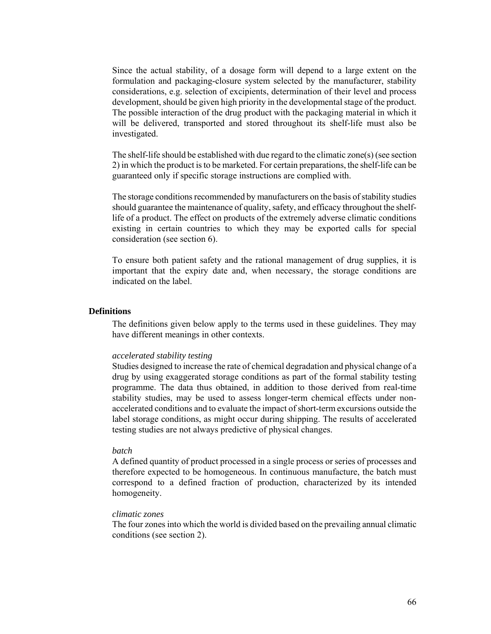Since the actual stability, of a dosage form will depend to a large extent on the formulation and packaging-closure system selected by the manufacturer, stability considerations, e.g. selection of excipients, determination of their level and process development, should be given high priority in the developmental stage of the product. The possible interaction of the drug product with the packaging material in which it will be delivered, transported and stored throughout its shelf-life must also be investigated.

The shelf-life should be established with due regard to the climatic zone(s) (see section 2) in which the product is to be marketed. For certain preparations, the shelf-life can be guaranteed only if specific storage instructions are complied with.

The storage conditions recommended by manufacturers on the basis of stability studies should guarantee the maintenance of quality, safety, and efficacy throughout the shelflife of a product. The effect on products of the extremely adverse climatic conditions existing in certain countries to which they may be exported calls for special consideration (see section 6).

To ensure both patient safety and the rational management of drug supplies, it is important that the expiry date and, when necessary, the storage conditions are indicated on the label.

#### **Definitions**

The definitions given below apply to the terms used in these guidelines. They may have different meanings in other contexts.

#### *accelerated stability testing*

Studies designed to increase the rate of chemical degradation and physical change of a drug by using exaggerated storage conditions as part of the formal stability testing programme. The data thus obtained, in addition to those derived from real-time stability studies, may be used to assess longer-term chemical effects under nonaccelerated conditions and to evaluate the impact of short-term excursions outside the label storage conditions, as might occur during shipping. The results of accelerated testing studies are not always predictive of physical changes.

#### *batch*

A defined quantity of product processed in a single process or series of processes and therefore expected to be homogeneous. In continuous manufacture, the batch must correspond to a defined fraction of production, characterized by its intended homogeneity.

#### *climatic zones*

The four zones into which the world is divided based on the prevailing annual climatic conditions (see section 2).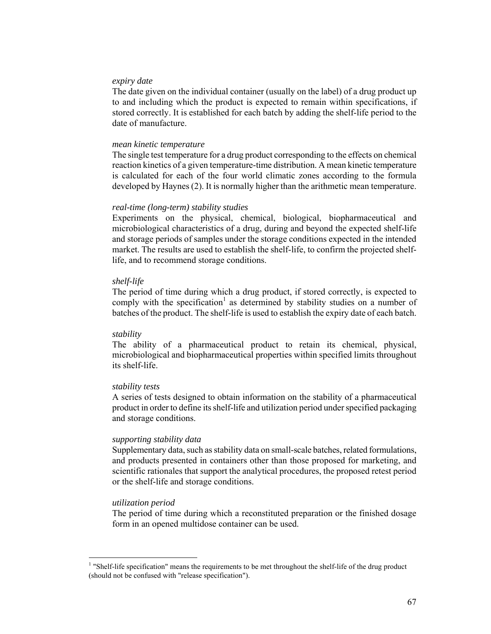#### *expiry date*

The date given on the individual container (usually on the label) of a drug product up to and including which the product is expected to remain within specifications, if stored correctly. It is established for each batch by adding the shelf-life period to the date of manufacture.

#### *mean kinetic temperature*

The single test temperature for a drug product corresponding to the effects on chemical reaction kinetics of a given temperature-time distribution. A mean kinetic temperature is calculated for each of the four world climatic zones according to the formula developed by Haynes (2). It is normally higher than the arithmetic mean temperature.

#### *real-time (long-term) stability studies*

Experiments on the physical, chemical, biological, biopharmaceutical and microbiological characteristics of a drug, during and beyond the expected shelf-life and storage periods of samples under the storage conditions expected in the intended market. The results are used to establish the shelf-life, to confirm the projected shelflife, and to recommend storage conditions.

#### *shelf-life*

The period of time during which a drug product, if stored correctly, is expected to comply with the specification<sup>1</sup> as determined by stability studies on a number of batches of the product. The shelf-life is used to establish the expiry date of each batch.

#### *stability*

The ability of a pharmaceutical product to retain its chemical, physical, microbiological and biopharmaceutical properties within specified limits throughout its shelf-life.

# *stability tests*

A series of tests designed to obtain information on the stability of a pharmaceutical product in order to define its shelf-life and utilization period under specified packaging and storage conditions.

# *supporting stability data*

Supplementary data, such as stability data on small-scale batches, related formulations, and products presented in containers other than those proposed for marketing, and scientific rationales that support the analytical procedures, the proposed retest period or the shelf-life and storage conditions.

# *utilization period*

 $\overline{a}$ 

The period of time during which a reconstituted preparation or the finished dosage form in an opened multidose container can be used.

 $1$  "Shelf-life specification" means the requirements to be met throughout the shelf-life of the drug product (should not be confused with "release specification").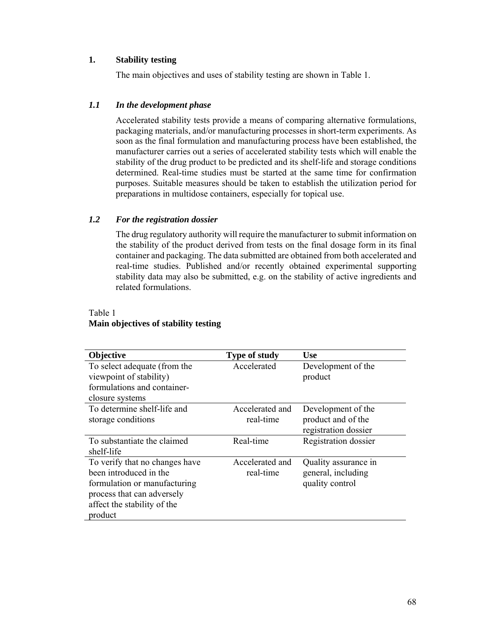# **1. Stability testing**

The main objectives and uses of stability testing are shown in Table 1.

# *1.1 In the development phase*

Accelerated stability tests provide a means of comparing alternative formulations, packaging materials, and/or manufacturing processes in short-term experiments. As soon as the final formulation and manufacturing process have been established, the manufacturer carries out a series of accelerated stability tests which will enable the stability of the drug product to be predicted and its shelf-life and storage conditions determined. Real-time studies must be started at the same time for confirmation purposes. Suitable measures should be taken to establish the utilization period for preparations in multidose containers, especially for topical use.

# *1.2 For the registration dossier*

The drug regulatory authority will require the manufacturer to submit information on the stability of the product derived from tests on the final dosage form in its final container and packaging. The data submitted are obtained from both accelerated and real-time studies. Published and/or recently obtained experimental supporting stability data may also be submitted, e.g. on the stability of active ingredients and related formulations.

#### **Objective Channel Channel Channel Channel Channel Channel Use Channel Use Channel Channel Channel Channel Channel Channel Channel Channel Channel Channel Channel Channel Channel Channel Channel Channel Channel Channel** To select adequate (from the viewpoint of stability) formulations and containerclosure systems Accelerated Development of the product To determine shelf-life and storage conditions Accelerated and real-time Development of the product and of the registration dossier To substantiate the claimed shelf-life Real-time Registration dossier To verify that no changes have been introduced in the formulation or manufacturing process that can adversely affect the stability of the product Accelerated and real-time Quality assurance in general, including quality control

# Table 1 **Main objectives of stability testing**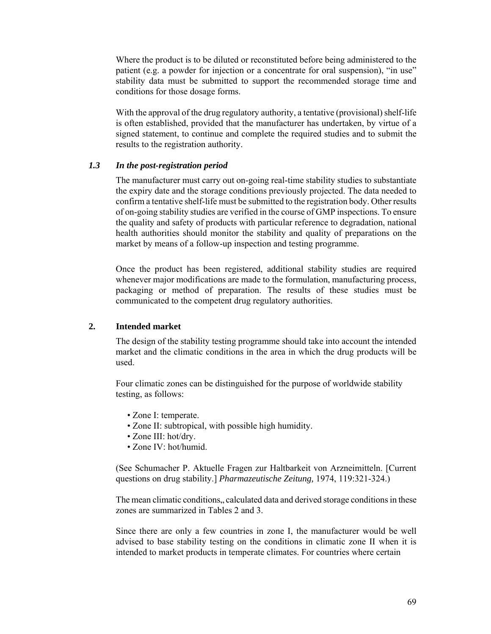Where the product is to be diluted or reconstituted before being administered to the patient (e.g. a powder for injection or a concentrate for oral suspension), "in use" stability data must be submitted to support the recommended storage time and conditions for those dosage forms.

With the approval of the drug regulatory authority, a tentative (provisional) shelf-life is often established, provided that the manufacturer has undertaken, by virtue of a signed statement, to continue and complete the required studies and to submit the results to the registration authority.

# *1.3 In the post-registration period*

The manufacturer must carry out on-going real-time stability studies to substantiate the expiry date and the storage conditions previously projected. The data needed to confirm a tentative shelf-life must be submitted to the registration body. Other results of on-going stability studies are verified in the course of GMP inspections. To ensure the quality and safety of products with particular reference to degradation, national health authorities should monitor the stability and quality of preparations on the market by means of a follow-up inspection and testing programme.

Once the product has been registered, additional stability studies are required whenever major modifications are made to the formulation, manufacturing process, packaging or method of preparation. The results of these studies must be communicated to the competent drug regulatory authorities.

#### **2. Intended market**

The design of the stability testing programme should take into account the intended market and the climatic conditions in the area in which the drug products will be used.

Four climatic zones can be distinguished for the purpose of worldwide stability testing, as follows:

- Zone I: temperate.
- Zone II: subtropical, with possible high humidity.
- Zone III: hot/dry.
- Zone IV: hot/humid.

(See Schumacher P. Aktuelle Fragen zur Haltbarkeit von Arzneimitteln. [Current questions on drug stability.] *Pharmazeutische Zeitung,* 1974, 119:321-324.)

The mean climatic conditions, calculated data and derived storage conditions in these zones are summarized in Tables 2 and 3.

Since there are only a few countries in zone I, the manufacturer would be well advised to base stability testing on the conditions in climatic zone II when it is intended to market products in temperate climates. For countries where certain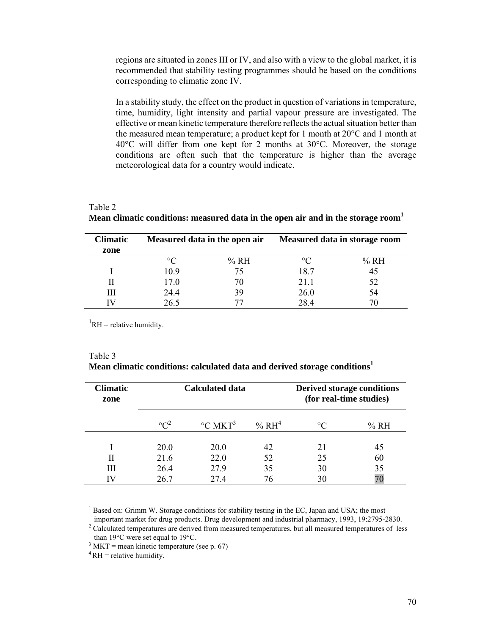regions are situated in zones III or IV, and also with a view to the global market, it is recommended that stability testing programmes should be based on the conditions corresponding to climatic zone IV.

In a stability study, the effect on the product in question of variations in temperature, time, humidity, light intensity and partial vapour pressure are investigated. The effective or mean kinetic temperature therefore reflects the actual situation better than the measured mean temperature; a product kept for 1 month at 20°C and 1 month at 40°C will differ from one kept for 2 months at 30°C. Moreover, the storage conditions are often such that the temperature is higher than the average meteorological data for a country would indicate.

# Table 2

**Mean climatic conditions: measured data in the open air and in the storage room<sup>1</sup>**

| <b>Climatic</b> | Measured data in the open air |      | Measured data in storage room |         |  |
|-----------------|-------------------------------|------|-------------------------------|---------|--|
| zone            |                               |      |                               |         |  |
|                 | $\circ$                       | % RH | $\circ$                       | $\%$ RH |  |
|                 | 10.9                          | 75   | 18.7                          |         |  |
|                 | 17.0                          | 70   | 21.1                          | 52      |  |
| Ш               | 24.4                          | 39   | 26.0                          | 54      |  |
|                 | 26.5                          |      | 28.4                          |         |  |

 ${}^{1}$ RH = relative humidity.

| Table 3 |                                                                                       |
|---------|---------------------------------------------------------------------------------------|
|         | Mean climatic conditions: calculated data and derived storage conditions <sup>1</sup> |

| <b>Climatic</b><br>zone | <b>Calculated data</b> |                                  |           | <b>Derived storage conditions</b><br>(for real-time studies) |     |
|-------------------------|------------------------|----------------------------------|-----------|--------------------------------------------------------------|-----|
|                         | $\circ$ <sup>2</sup>   | $\rm ^{\circ}C$ MKT <sup>3</sup> | $\% RH^4$ | $\circ$ C                                                    | %RH |
|                         | 20.0                   | 20.0                             | 42        | 21                                                           | 45  |
| Н                       | 21.6                   | 22.0                             | 52        | 25                                                           | 60  |
| Ш                       | 26.4                   | 279                              | 35        | 30                                                           | 35  |
| IV                      | 26.7                   | 27.4                             | 76        | 30                                                           | 70  |

<sup>1</sup> Based on: Grimm W. Storage conditions for stability testing in the EC, Japan and USA; the most important market for drug products. Drug development and industrial pharmacy, 1993, 19:2795-2830.

 $2^2$  Calculated temperatures are derived from measured temperatures, but all measured temperatures of less than 19°C were set equal to 19°C.

 $3$  MKT = mean kinetic temperature (see p. 67)

 ${}^{4}$  RH = relative humidity.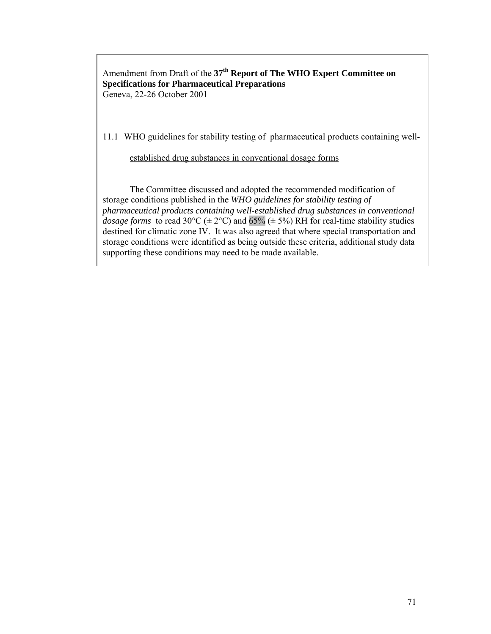Amendment from Draft of the 37<sup>th</sup> Report of The WHO Expert Committee on **Specifications for Pharmaceutical Preparations**  Geneva, 22-26 October 2001

11.1 WHO guidelines for stability testing of pharmaceutical products containing well-

established drug substances in conventional dosage forms

 The Committee discussed and adopted the recommended modification of storage conditions published in the *WHO guidelines for stability testing of pharmaceutical products containing well-established drug substances in conventional dosage forms* to read 30°C ( $\pm$  2°C) and 65% ( $\pm$  5%) RH for real-time stability studies destined for climatic zone IV. It was also agreed that where special transportation and storage conditions were identified as being outside these criteria, additional study data supporting these conditions may need to be made available.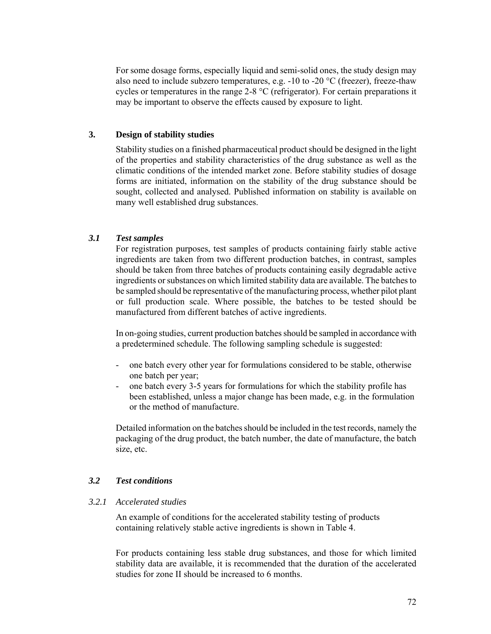For some dosage forms, especially liquid and semi-solid ones, the study design may also need to include subzero temperatures, e.g.  $-10$  to  $-20$  °C (freezer), freeze-thaw cycles or temperatures in the range 2-8 °C (refrigerator). For certain preparations it may be important to observe the effects caused by exposure to light.

# **3. Design of stability studies**

Stability studies on a finished pharmaceutical product should be designed in the light of the properties and stability characteristics of the drug substance as well as the climatic conditions of the intended market zone. Before stability studies of dosage forms are initiated, information on the stability of the drug substance should be sought, collected and analysed. Published information on stability is available on many well established drug substances.

# *3.1 Test samples*

For registration purposes, test samples of products containing fairly stable active ingredients are taken from two different production batches, in contrast, samples should be taken from three batches of products containing easily degradable active ingredients or substances on which limited stability data are available. The batches to be sampled should be representative of the manufacturing process, whether pilot plant or full production scale. Where possible, the batches to be tested should be manufactured from different batches of active ingredients.

In on-going studies, current production batches should be sampled in accordance with a predetermined schedule. The following sampling schedule is suggested:

- one batch every other year for formulations considered to be stable, otherwise one batch per year;
- one batch every 3-5 years for formulations for which the stability profile has been established, unless a major change has been made, e.g. in the formulation or the method of manufacture.

Detailed information on the batches should be included in the test records, namely the packaging of the drug product, the batch number, the date of manufacture, the batch size, etc.

# *3.2 Test conditions*

# *3.2.1 Accelerated studies*

An example of conditions for the accelerated stability testing of products containing relatively stable active ingredients is shown in Table 4.

For products containing less stable drug substances, and those for which limited stability data are available, it is recommended that the duration of the accelerated studies for zone II should be increased to 6 months.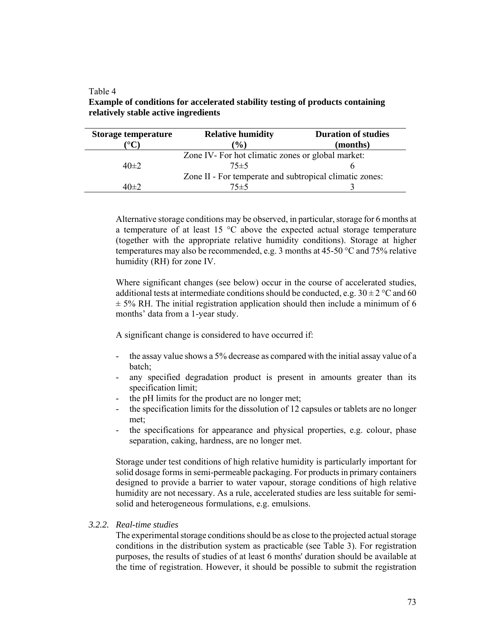Table 4

**Example of conditions for accelerated stability testing of products containing relatively stable active ingredients** 

| Storage temperature | <b>Relative humidity</b>                                | <b>Duration of studies</b> |
|---------------------|---------------------------------------------------------|----------------------------|
|                     | $\frac{9}{0}$                                           | (months)                   |
|                     | Zone IV- For hot climatic zones or global market:       |                            |
| $40\pm2$            | $75 + 5$                                                |                            |
|                     | Zone II - For temperate and subtropical climatic zones: |                            |
| 40±2                | $75 \pm 5$                                              |                            |

Alternative storage conditions may be observed, in particular, storage for 6 months at a temperature of at least 15  $^{\circ}$ C above the expected actual storage temperature (together with the appropriate relative humidity conditions). Storage at higher temperatures may also be recommended, e.g. 3 months at 45-50 °C and 75% relative humidity (RH) for zone IV.

Where significant changes (see below) occur in the course of accelerated studies, additional tests at intermediate conditions should be conducted, e.g.  $30 \pm 2$  °C and 60  $\pm$  5% RH. The initial registration application should then include a minimum of 6 months' data from a 1-year study.

A significant change is considered to have occurred if:

- the assay value shows a 5% decrease as compared with the initial assay value of a batch;
- any specified degradation product is present in amounts greater than its specification limit;
- the pH limits for the product are no longer met;
- the specification limits for the dissolution of 12 capsules or tablets are no longer met;
- the specifications for appearance and physical properties, e.g. colour, phase separation, caking, hardness, are no longer met.

Storage under test conditions of high relative humidity is particularly important for solid dosage forms in semi-permeable packaging. For products in primary containers designed to provide a barrier to water vapour, storage conditions of high relative humidity are not necessary. As a rule, accelerated studies are less suitable for semisolid and heterogeneous formulations, e.g. emulsions.

# *3.2.2. Real-time studies*

The experimental storage conditions should be as close to the projected actual storage conditions in the distribution system as practicable (see Table 3). For registration purposes, the results of studies of at least 6 months' duration should be available at the time of registration. However, it should be possible to submit the registration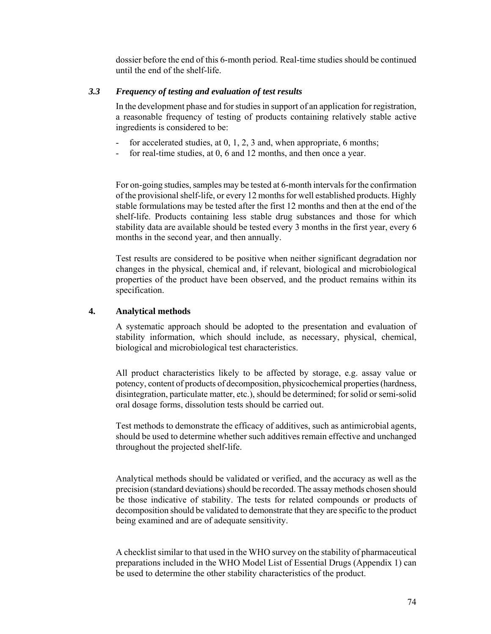dossier before the end of this 6-month period. Real-time studies should be continued until the end of the shelf-life.

# *3.3 Frequency of testing and evaluation of test results*

In the development phase and for studies in support of an application for registration, a reasonable frequency of testing of products containing relatively stable active ingredients is considered to be:

- for accelerated studies, at  $0, 1, 2, 3$  and, when appropriate, 6 months;
- for real-time studies, at 0, 6 and 12 months, and then once a year.

For on-going studies, samples may be tested at 6-month intervals for the confirmation of the provisional shelf-life, or every 12 months for well established products. Highly stable formulations may be tested after the first 12 months and then at the end of the shelf-life. Products containing less stable drug substances and those for which stability data are available should be tested every 3 months in the first year, every 6 months in the second year, and then annually.

Test results are considered to be positive when neither significant degradation nor changes in the physical, chemical and, if relevant, biological and microbiological properties of the product have been observed, and the product remains within its specification.

# **4. Analytical methods**

A systematic approach should be adopted to the presentation and evaluation of stability information, which should include, as necessary, physical, chemical, biological and microbiological test characteristics.

All product characteristics likely to be affected by storage, e.g. assay value or potency, content of products of decomposition, physicochemical properties (hardness, disintegration, particulate matter, etc.), should be determined; for solid or semi-solid oral dosage forms, dissolution tests should be carried out.

Test methods to demonstrate the efficacy of additives, such as antimicrobial agents, should be used to determine whether such additives remain effective and unchanged throughout the projected shelf-life.

Analytical methods should be validated or verified, and the accuracy as well as the precision (standard deviations) should be recorded. The assay methods chosen should be those indicative of stability. The tests for related compounds or products of decomposition should be validated to demonstrate that they are specific to the product being examined and are of adequate sensitivity.

A checklist similar to that used in the WHO survey on the stability of pharmaceutical preparations included in the WHO Model List of Essential Drugs (Appendix 1) can be used to determine the other stability characteristics of the product.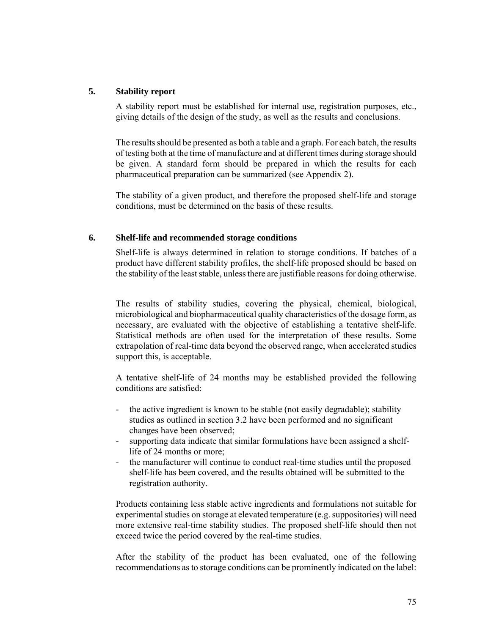# **5. Stability report**

A stability report must be established for internal use, registration purposes, etc., giving details of the design of the study, as well as the results and conclusions.

The results should be presented as both a table and a graph. For each batch, the results of testing both at the time of manufacture and at different times during storage should be given. A standard form should be prepared in which the results for each pharmaceutical preparation can be summarized (see Appendix 2).

The stability of a given product, and therefore the proposed shelf-life and storage conditions, must be determined on the basis of these results.

# **6. Shelf-life and recommended storage conditions**

Shelf-life is always determined in relation to storage conditions. If batches of a product have different stability profiles, the shelf-life proposed should be based on the stability of the least stable, unless there are justifiable reasons for doing otherwise.

The results of stability studies, covering the physical, chemical, biological, microbiological and biopharmaceutical quality characteristics of the dosage form, as necessary, are evaluated with the objective of establishing a tentative shelf-life. Statistical methods are often used for the interpretation of these results. Some extrapolation of real-time data beyond the observed range, when accelerated studies support this, is acceptable.

A tentative shelf-life of 24 months may be established provided the following conditions are satisfied:

- the active ingredient is known to be stable (not easily degradable); stability studies as outlined in section 3.2 have been performed and no significant changes have been observed;
- supporting data indicate that similar formulations have been assigned a shelflife of 24 months or more;
- the manufacturer will continue to conduct real-time studies until the proposed shelf-life has been covered, and the results obtained will be submitted to the registration authority.

Products containing less stable active ingredients and formulations not suitable for experimental studies on storage at elevated temperature (e.g. suppositories) will need more extensive real-time stability studies. The proposed shelf-life should then not exceed twice the period covered by the real-time studies.

After the stability of the product has been evaluated, one of the following recommendations as to storage conditions can be prominently indicated on the label: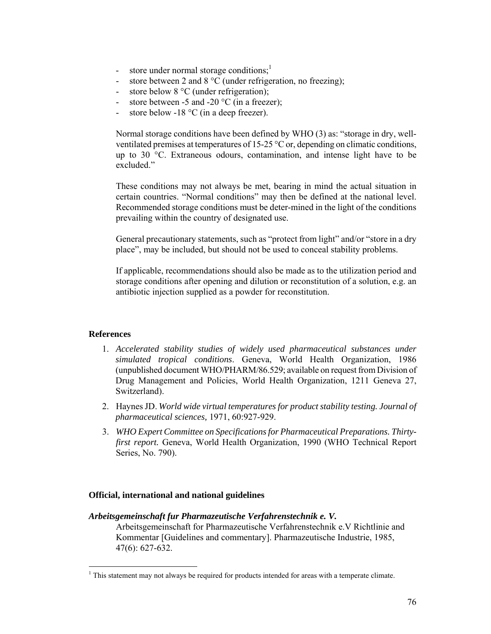- store under normal storage conditions;<sup>1</sup>
- store between 2 and 8 °C (under refrigeration, no freezing);
- store below 8 °C (under refrigeration);
- store between -5 and -20  $^{\circ}$ C (in a freezer);
- store below  $-18 \degree C$  (in a deep freezer).

Normal storage conditions have been defined by WHO (3) as: "storage in dry, wellventilated premises at temperatures of 15-25 °C or, depending on climatic conditions, up to 30 °C. Extraneous odours, contamination, and intense light have to be excluded<sup>"</sup>

These conditions may not always be met, bearing in mind the actual situation in certain countries. "Normal conditions" may then be defined at the national level. Recommended storage conditions must be deter-mined in the light of the conditions prevailing within the country of designated use.

General precautionary statements, such as "protect from light" and/or "store in a dry place", may be included, but should not be used to conceal stability problems.

If applicable, recommendations should also be made as to the utilization period and storage conditions after opening and dilution or reconstitution of a solution, e.g. an antibiotic injection supplied as a powder for reconstitution.

#### **References**

 $\overline{a}$ 

- 1. *Accelerated stability studies of widely used pharmaceutical substances under simulated tropical conditions*. Geneva, World Health Organization, 1986 (unpublished document WHO/PHARM/86.529; available on request from Division of Drug Management and Policies, World Health Organization, 1211 Geneva 27, Switzerland).
- 2. Haynes JD. *World wide virtual temperatures for product stability testing. Journal of pharmaceutical sciences,* 1971, 60:927-929.
- 3. *WHO Expert Committee on Specifications for Pharmaceutical Preparations. Thirtyfirst report.* Geneva, World Health Organization, 1990 (WHO Technical Report Series, No. 790).

#### **Official, international and national guidelines**

#### *Arbeitsgemeinschaft fur Pharmazeutische Verfahrenstechnik e. V.*

Arbeitsgemeinschaft for Pharmazeutische Verfahrenstechnik e.V Richtlinie and Kommentar [Guidelines and commentary]. Pharmazeutische Industrie, 1985, 47(6): 627-632.

 $<sup>1</sup>$  This statement may not always be required for products intended for areas with a temperate climate.</sup>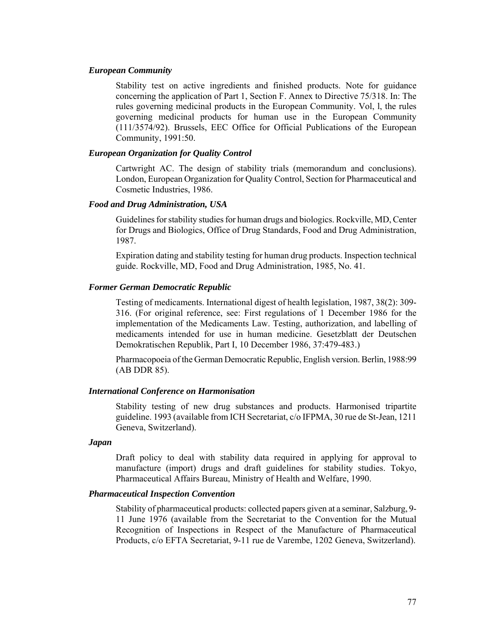#### *European Community*

Stability test on active ingredients and finished products. Note for guidance concerning the application of Part 1, Section F. Annex to Directive 75/318. In: The rules governing medicinal products in the European Community. Vol, l, the rules governing medicinal products for human use in the European Community (111/3574/92). Brussels, EEC Office for Official Publications of the European Community, 1991:50.

#### *European Organization for Quality Control*

Cartwright AC. The design of stability trials (memorandum and conclusions). London, European Organization for Quality Control, Section for Pharmaceutical and Cosmetic Industries, 1986.

#### *Food and Drug Administration, USA*

Guidelines for stability studies for human drugs and biologics. Rockville, MD, Center for Drugs and Biologics, Office of Drug Standards, Food and Drug Administration, 1987.

Expiration dating and stability testing for human drug products. Inspection technical guide. Rockville, MD, Food and Drug Administration, 1985, No. 41.

#### *Former German Democratic Republic*

Testing of medicaments. International digest of health legislation, 1987, 38(2): 309- 316. (For original reference, see: First regulations of 1 December 1986 for the implementation of the Medicaments Law. Testing, authorization, and labelling of medicaments intended for use in human medicine. Gesetzblatt der Deutschen Demokratischen Republik, Part I, 10 December 1986, 37:479-483.)

Pharmacopoeia of the German Democratic Republic, English version. Berlin, 1988:99 (AB DDR 85).

# *International Conference on Harmonisation*

Stability testing of new drug substances and products. Harmonised tripartite guideline. 1993 (available from ICH Secretariat, c/o IFPMA, 30 rue de St-Jean, 1211 Geneva, Switzerland).

#### *Japan*

Draft policy to deal with stability data required in applying for approval to manufacture (import) drugs and draft guidelines for stability studies. Tokyo, Pharmaceutical Affairs Bureau, Ministry of Health and Welfare, 1990.

#### *Pharmaceutical Inspection Convention*

Stability of pharmaceutical products: collected papers given at a seminar, Salzburg, 9- 11 June 1976 (available from the Secretariat to the Convention for the Mutual Recognition of Inspections in Respect of the Manufacture of Pharmaceutical Products, c/o EFTA Secretariat, 9-11 rue de Varembe, 1202 Geneva, Switzerland).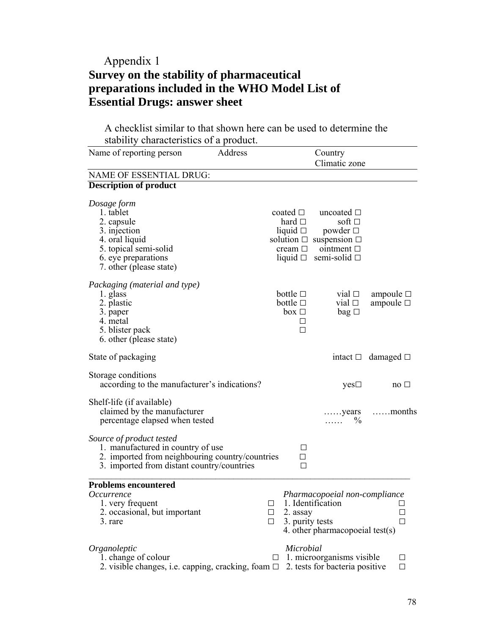# Appendix 1 **Survey on the stability of pharmaceutical preparations included in the WHO Model List of Essential Drugs: answer sheet**

 A checklist similar to that shown here can be used to determine the stability characteristics of a product.

| $\frac{1}{2}$<br>Name of reporting person                                                                                                                      | Address     |                                                    |                       | Country                                                                                                                                                                       |                                        |
|----------------------------------------------------------------------------------------------------------------------------------------------------------------|-------------|----------------------------------------------------|-----------------------|-------------------------------------------------------------------------------------------------------------------------------------------------------------------------------|----------------------------------------|
|                                                                                                                                                                |             |                                                    |                       | Climatic zone                                                                                                                                                                 |                                        |
| NAME OF ESSENTIAL DRUG:                                                                                                                                        |             |                                                    |                       |                                                                                                                                                                               |                                        |
| <b>Description of product</b>                                                                                                                                  |             |                                                    |                       |                                                                                                                                                                               |                                        |
|                                                                                                                                                                |             |                                                    |                       |                                                                                                                                                                               |                                        |
| Dosage form<br>1. tablet<br>2. capsule<br>3. injection<br>4. oral liquid<br>5. topical semi-solid<br>6. eye preparations<br>7. other (please state)            |             | coated $\square$<br>cream $\Box$                   |                       | uncoated $\Box$<br>hard $\square$<br>soft $\square$<br>liquid $\Box$ powder $\Box$<br>solution $\Box$ suspension $\Box$<br>ointment $\Box$<br>liquid $\Box$ semi-solid $\Box$ |                                        |
| Packaging (material and type)<br>1. glass<br>2. plastic<br>3. paper<br>4. metal<br>5. blister pack<br>6. other (please state)                                  |             | bottle $\square$<br>bottle $\square$<br>$box \Box$ | $\Box$                | vial $\square$<br>vial $\Box$<br>$bag \Box$                                                                                                                                   | ampoule $\square$<br>ampoule $\square$ |
| State of packaging                                                                                                                                             |             |                                                    |                       |                                                                                                                                                                               | intact $\Box$ damaged $\Box$           |
| Storage conditions<br>according to the manufacturer's indications?                                                                                             |             |                                                    |                       | $yes \Box$                                                                                                                                                                    | $no \Box$                              |
| Shelf-life (if available)<br>claimed by the manufacturer<br>percentage elapsed when tested                                                                     |             |                                                    |                       | . years<br>$\%$<br>.                                                                                                                                                          | $\ldots$ months                        |
| Source of product tested<br>1. manufactured in country of use<br>2. imported from neighbouring country/countries<br>3. imported from distant country/countries |             |                                                    | □<br>$\Box$<br>$\Box$ |                                                                                                                                                                               |                                        |
| <b>Problems encountered</b><br><i>Occurrence</i><br>1. very frequent<br>2. occasional, but important<br>3. rare                                                | $\Box$<br>П |                                                    | 2. assay              | Pharmacopoeial non-compliance<br>1. Identification<br>3. purity tests<br>4. other pharmacopoeial test(s)                                                                      |                                        |
| Organoleptic<br>1. change of colour<br>2. visible changes, i.e. capping, cracking, foam $\Box$                                                                 |             | $\perp$                                            | Microbial             | 1. microorganisms visible<br>2. tests for bacteria positive                                                                                                                   | Π,<br>$\Box$                           |

78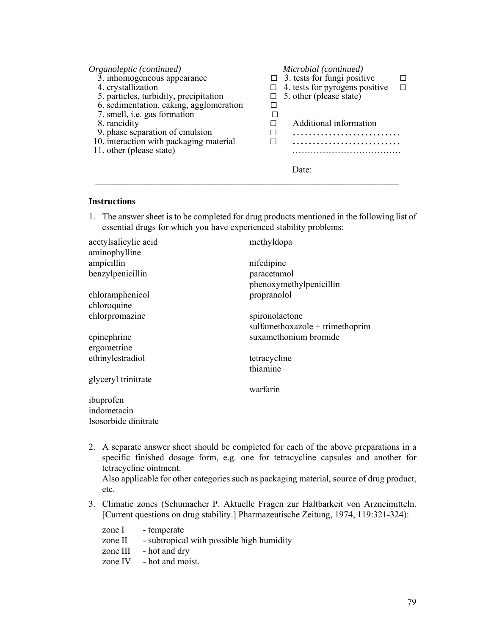|  | <i>Organoleptic (continued)</i><br>3. inhomogeneous appearance<br>4. crystallization<br>5. particles, turbidity, precipitation<br>6. sedimentation, caking, agglomeration<br>7. smell, i.e. gas formation<br>8. rancidity<br>9. phase separation of emulsion<br>10. interaction with packaging material<br>11. other (please state) | Microbial (continued)<br>$\Box$ 3. tests for fungi positive<br>П<br>4. tests for pyrogens positive<br>П<br>5. other (please state)<br>Additional information<br>Date: |
|--|-------------------------------------------------------------------------------------------------------------------------------------------------------------------------------------------------------------------------------------------------------------------------------------------------------------------------------------|-----------------------------------------------------------------------------------------------------------------------------------------------------------------------|
|--|-------------------------------------------------------------------------------------------------------------------------------------------------------------------------------------------------------------------------------------------------------------------------------------------------------------------------------------|-----------------------------------------------------------------------------------------------------------------------------------------------------------------------|

# **Instructions**

1. The answer sheet is to be completed for drug products mentioned in the following list of essential drugs for which you have experienced stability problems:

| acetylsalicylic acid | methyldopa                      |
|----------------------|---------------------------------|
| aminophylline        |                                 |
| ampicillin           | nifedipine                      |
| benzylpenicillin     | paracetamol                     |
|                      | phenoxymethylpenicillin         |
| chloramphenicol      | propranolol                     |
| chloroquine          |                                 |
| chlorpromazine       | spironolactone                  |
|                      | sulfamethoxazole + trimethoprim |
| epinephrine          | suxamethonium bromide           |
| ergometrine          |                                 |
| ethinylestradiol     | tetracycline                    |
|                      | thiamine                        |
| glyceryl trinitrate  |                                 |
|                      | warfarin                        |
| ibuprofen            |                                 |
| indometacin          |                                 |
| Isosorbide dinitrate |                                 |

- 2. A separate answer sheet should be completed for each of the above preparations in a specific finished dosage form, e.g. one for tetracycline capsules and another for tetracycline ointment. Also applicable for other categories such as packaging material, source of drug product, etc.
- 3. Climatic zones (Schumacher P. Aktuelle Fragen zur Haltbarkeit von Arzneimitteln. [Current questions on drug stability.] Pharmazeutische Zeitung, 1974, 119:321-324):
	- zone I temperate zone II - subtropical with possible high humidity zone III - hot and dry zone IV - hot and moist.